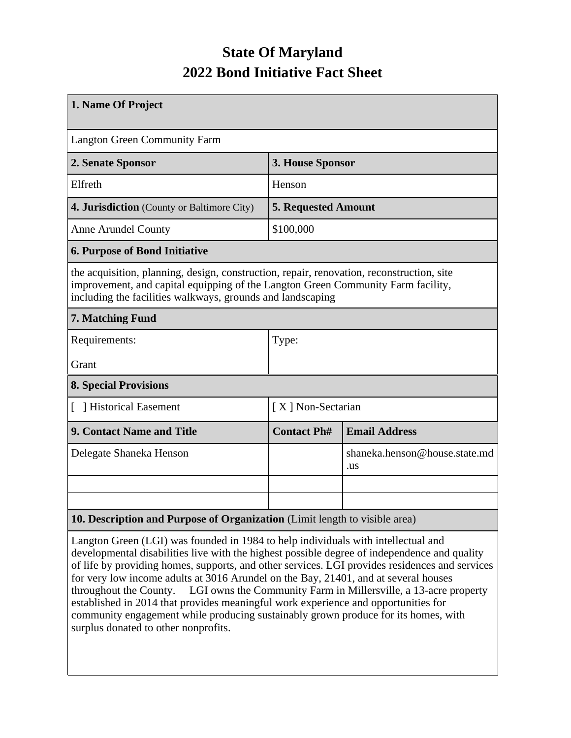## **State Of Maryland 2022 Bond Initiative Fact Sheet**

| 1. Name Of Project                                                                                                                                                                                                                          |                            |                                      |  |  |
|---------------------------------------------------------------------------------------------------------------------------------------------------------------------------------------------------------------------------------------------|----------------------------|--------------------------------------|--|--|
| <b>Langton Green Community Farm</b>                                                                                                                                                                                                         |                            |                                      |  |  |
| 2. Senate Sponsor                                                                                                                                                                                                                           | 3. House Sponsor           |                                      |  |  |
| Elfreth                                                                                                                                                                                                                                     | Henson                     |                                      |  |  |
| 4. Jurisdiction (County or Baltimore City)                                                                                                                                                                                                  | <b>5. Requested Amount</b> |                                      |  |  |
| <b>Anne Arundel County</b>                                                                                                                                                                                                                  | \$100,000                  |                                      |  |  |
| <b>6. Purpose of Bond Initiative</b>                                                                                                                                                                                                        |                            |                                      |  |  |
| the acquisition, planning, design, construction, repair, renovation, reconstruction, site<br>improvement, and capital equipping of the Langton Green Community Farm facility,<br>including the facilities walkways, grounds and landscaping |                            |                                      |  |  |
| 7. Matching Fund                                                                                                                                                                                                                            |                            |                                      |  |  |
| Requirements:                                                                                                                                                                                                                               | Type:                      |                                      |  |  |
| Grant                                                                                                                                                                                                                                       |                            |                                      |  |  |
| <b>8. Special Provisions</b>                                                                                                                                                                                                                |                            |                                      |  |  |
| [ ] Historical Easement                                                                                                                                                                                                                     | [X] Non-Sectarian          |                                      |  |  |
| <b>9. Contact Name and Title</b>                                                                                                                                                                                                            | <b>Contact Ph#</b>         | <b>Email Address</b>                 |  |  |
| Delegate Shaneka Henson                                                                                                                                                                                                                     |                            | shaneka.henson@house.state.md<br>.us |  |  |
|                                                                                                                                                                                                                                             |                            |                                      |  |  |
|                                                                                                                                                                                                                                             |                            |                                      |  |  |
| 10. Description and Purpose of Organization (Limit length to visible area)                                                                                                                                                                  |                            |                                      |  |  |

Langton Green (LGI) was founded in 1984 to help individuals with intellectual and developmental disabilities live with the highest possible degree of independence and quality of life by providing homes, supports, and other services. LGI provides residences and services for very low income adults at 3016 Arundel on the Bay, 21401, and at several houses throughout the County. LGI owns the Community Farm in Millersville, a 13-acre property established in 2014 that provides meaningful work experience and opportunities for community engagement while producing sustainably grown produce for its homes, with surplus donated to other nonprofits.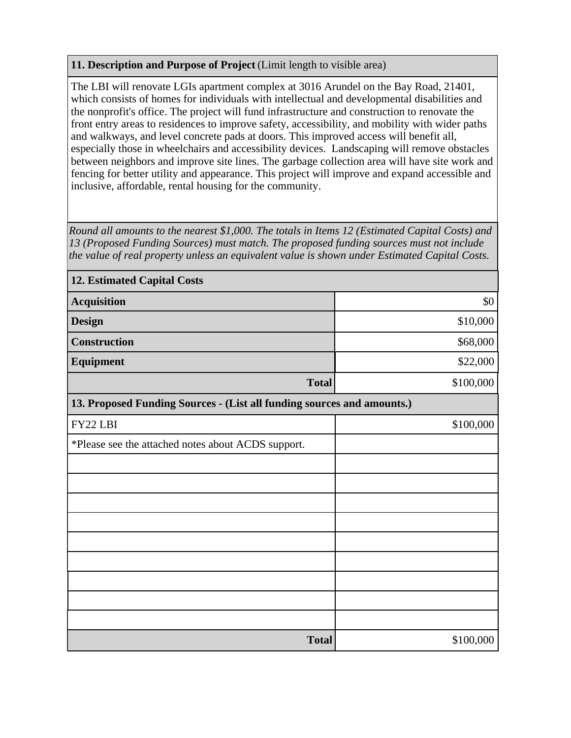## **11. Description and Purpose of Project** (Limit length to visible area)

The LBI will renovate LGIs apartment complex at 3016 Arundel on the Bay Road, 21401, which consists of homes for individuals with intellectual and developmental disabilities and the nonprofit's office. The project will fund infrastructure and construction to renovate the front entry areas to residences to improve safety, accessibility, and mobility with wider paths and walkways, and level concrete pads at doors. This improved access will benefit all, especially those in wheelchairs and accessibility devices. Landscaping will remove obstacles between neighbors and improve site lines. The garbage collection area will have site work and fencing for better utility and appearance. This project will improve and expand accessible and inclusive, affordable, rental housing for the community.

*Round all amounts to the nearest \$1,000. The totals in Items 12 (Estimated Capital Costs) and 13 (Proposed Funding Sources) must match. The proposed funding sources must not include the value of real property unless an equivalent value is shown under Estimated Capital Costs.*

| <b>12. Estimated Capital Costs</b>                                     |           |  |  |  |
|------------------------------------------------------------------------|-----------|--|--|--|
| <b>Acquisition</b>                                                     | \$0       |  |  |  |
| <b>Design</b>                                                          | \$10,000  |  |  |  |
| Construction                                                           | \$68,000  |  |  |  |
| Equipment                                                              | \$22,000  |  |  |  |
| <b>Total</b>                                                           | \$100,000 |  |  |  |
| 13. Proposed Funding Sources - (List all funding sources and amounts.) |           |  |  |  |
| FY22 LBI                                                               | \$100,000 |  |  |  |
| *Please see the attached notes about ACDS support.                     |           |  |  |  |
|                                                                        |           |  |  |  |
|                                                                        |           |  |  |  |
|                                                                        |           |  |  |  |
|                                                                        |           |  |  |  |
|                                                                        |           |  |  |  |
|                                                                        |           |  |  |  |
|                                                                        |           |  |  |  |
|                                                                        |           |  |  |  |
|                                                                        |           |  |  |  |
| <b>Total</b>                                                           | \$100,000 |  |  |  |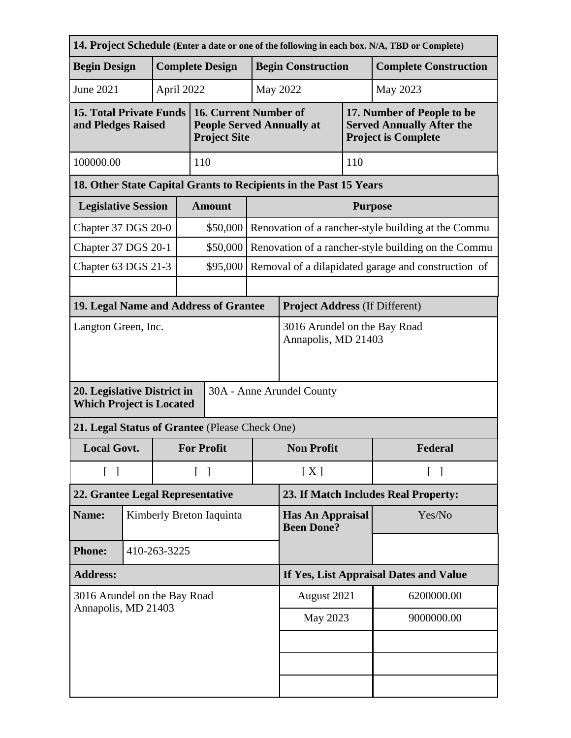|                                                                                             |              |                        |                                        |                                                                                  |                                              |                                                     |                                                     | 14. Project Schedule (Enter a date or one of the following in each box. N/A, TBD or Complete) |  |  |
|---------------------------------------------------------------------------------------------|--------------|------------------------|----------------------------------------|----------------------------------------------------------------------------------|----------------------------------------------|-----------------------------------------------------|-----------------------------------------------------|-----------------------------------------------------------------------------------------------|--|--|
| <b>Begin Design</b>                                                                         |              | <b>Complete Design</b> |                                        |                                                                                  | <b>Begin Construction</b>                    |                                                     |                                                     | <b>Complete Construction</b>                                                                  |  |  |
| <b>June 2021</b>                                                                            |              |                        | April 2022                             |                                                                                  |                                              | May 2022                                            |                                                     | May 2023                                                                                      |  |  |
| <b>15. Total Private Funds</b><br>and Pledges Raised                                        |              |                        |                                        | 16. Current Number of<br><b>People Served Annually at</b><br><b>Project Site</b> |                                              |                                                     |                                                     | 17. Number of People to be<br><b>Served Annually After the</b><br><b>Project is Complete</b>  |  |  |
| 100000.00                                                                                   |              |                        |                                        | 110                                                                              |                                              |                                                     | 110                                                 |                                                                                               |  |  |
| 18. Other State Capital Grants to Recipients in the Past 15 Years                           |              |                        |                                        |                                                                                  |                                              |                                                     |                                                     |                                                                                               |  |  |
| <b>Legislative Session</b>                                                                  |              |                        |                                        | <b>Amount</b>                                                                    |                                              | <b>Purpose</b>                                      |                                                     |                                                                                               |  |  |
| Chapter 37 DGS 20-0                                                                         |              |                        |                                        | \$50,000                                                                         |                                              | Renovation of a rancher-style building at the Commu |                                                     |                                                                                               |  |  |
| Chapter 37 DGS 20-1                                                                         |              |                        |                                        | \$50,000                                                                         |                                              |                                                     | Renovation of a rancher-style building on the Commu |                                                                                               |  |  |
| Chapter 63 DGS 21-3                                                                         |              |                        |                                        | \$95,000                                                                         |                                              |                                                     |                                                     | Removal of a dilapidated garage and construction of                                           |  |  |
|                                                                                             |              |                        |                                        |                                                                                  |                                              |                                                     |                                                     |                                                                                               |  |  |
| 19. Legal Name and Address of Grantee                                                       |              |                        |                                        |                                                                                  |                                              | <b>Project Address (If Different)</b>               |                                                     |                                                                                               |  |  |
| Langton Green, Inc.                                                                         |              |                        |                                        | 3016 Arundel on the Bay Road<br>Annapolis, MD 21403                              |                                              |                                                     |                                                     |                                                                                               |  |  |
| 20. Legislative District in<br>30A - Anne Arundel County<br><b>Which Project is Located</b> |              |                        |                                        |                                                                                  |                                              |                                                     |                                                     |                                                                                               |  |  |
| 21. Legal Status of Grantee (Please Check One)                                              |              |                        |                                        |                                                                                  |                                              |                                                     |                                                     |                                                                                               |  |  |
| <b>Local Govt.</b>                                                                          |              |                        | <b>For Profit</b>                      |                                                                                  | <b>Non Profit</b>                            |                                                     | Federal                                             |                                                                                               |  |  |
| $\begin{bmatrix} 1 \end{bmatrix}$                                                           |              |                        | $\lceil \; \rceil$                     |                                                                                  | [X]<br>$\lceil$ $\rceil$                     |                                                     |                                                     |                                                                                               |  |  |
| 22. Grantee Legal Representative                                                            |              |                        | 23. If Match Includes Real Property:   |                                                                                  |                                              |                                                     |                                                     |                                                                                               |  |  |
| Name:                                                                                       |              |                        | Kimberly Breton Iaquinta               |                                                                                  | <b>Has An Appraisal</b><br><b>Been Done?</b> |                                                     |                                                     | Yes/No                                                                                        |  |  |
| <b>Phone:</b>                                                                               | 410-263-3225 |                        |                                        |                                                                                  |                                              |                                                     |                                                     |                                                                                               |  |  |
| <b>Address:</b>                                                                             |              |                        | If Yes, List Appraisal Dates and Value |                                                                                  |                                              |                                                     |                                                     |                                                                                               |  |  |
| 3016 Arundel on the Bay Road<br>Annapolis, MD 21403                                         |              |                        | August 2021                            |                                                                                  | 6200000.00                                   |                                                     |                                                     |                                                                                               |  |  |
|                                                                                             |              |                        | May 2023                               |                                                                                  | 9000000.00                                   |                                                     |                                                     |                                                                                               |  |  |
|                                                                                             |              |                        |                                        |                                                                                  |                                              |                                                     |                                                     |                                                                                               |  |  |
|                                                                                             |              |                        |                                        |                                                                                  |                                              |                                                     |                                                     |                                                                                               |  |  |
|                                                                                             |              |                        |                                        |                                                                                  |                                              |                                                     |                                                     |                                                                                               |  |  |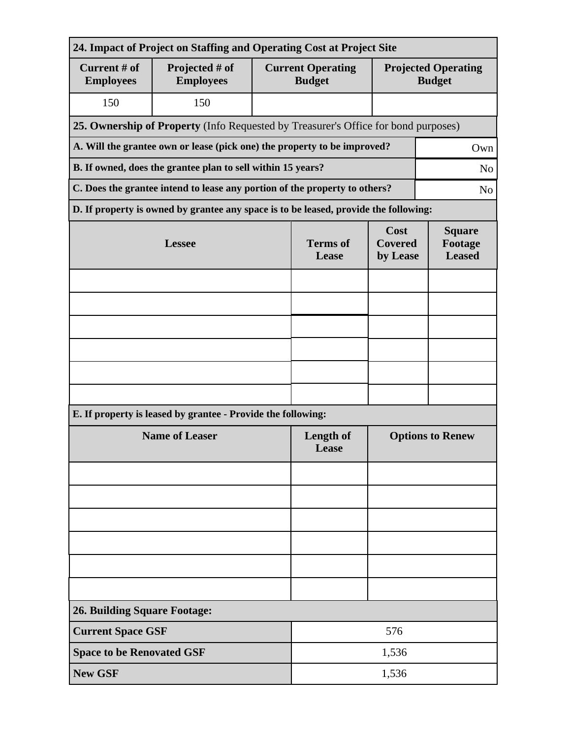| 24. Impact of Project on Staffing and Operating Cost at Project Site                         |                                                                                      |                          |                                           |                                             |  |  |  |
|----------------------------------------------------------------------------------------------|--------------------------------------------------------------------------------------|--------------------------|-------------------------------------------|---------------------------------------------|--|--|--|
| Current # of<br><b>Employees</b>                                                             | Projected # of<br><b>Employees</b>                                                   |                          | <b>Current Operating</b><br><b>Budget</b> | <b>Projected Operating</b><br><b>Budget</b> |  |  |  |
| 150                                                                                          | 150                                                                                  |                          |                                           |                                             |  |  |  |
| 25. Ownership of Property (Info Requested by Treasurer's Office for bond purposes)           |                                                                                      |                          |                                           |                                             |  |  |  |
| A. Will the grantee own or lease (pick one) the property to be improved?<br>Own              |                                                                                      |                          |                                           |                                             |  |  |  |
| B. If owned, does the grantee plan to sell within 15 years?<br>N <sub>o</sub>                |                                                                                      |                          |                                           |                                             |  |  |  |
| C. Does the grantee intend to lease any portion of the property to others?<br>N <sub>o</sub> |                                                                                      |                          |                                           |                                             |  |  |  |
|                                                                                              | D. If property is owned by grantee any space is to be leased, provide the following: |                          |                                           |                                             |  |  |  |
|                                                                                              | <b>Lessee</b>                                                                        | <b>Terms</b> of<br>Lease | Cost<br><b>Covered</b><br>by Lease        | <b>Square</b><br>Footage<br><b>Leased</b>   |  |  |  |
|                                                                                              |                                                                                      |                          |                                           |                                             |  |  |  |
|                                                                                              |                                                                                      |                          |                                           |                                             |  |  |  |
|                                                                                              |                                                                                      |                          |                                           |                                             |  |  |  |
|                                                                                              |                                                                                      |                          |                                           |                                             |  |  |  |
|                                                                                              |                                                                                      |                          |                                           |                                             |  |  |  |
|                                                                                              |                                                                                      |                          |                                           |                                             |  |  |  |
| E. If property is leased by grantee - Provide the following:                                 |                                                                                      |                          |                                           |                                             |  |  |  |
| <b>Name of Leaser</b>                                                                        |                                                                                      |                          | Length of<br>Lease                        | <b>Options to Renew</b>                     |  |  |  |
|                                                                                              |                                                                                      |                          |                                           |                                             |  |  |  |
|                                                                                              |                                                                                      |                          |                                           |                                             |  |  |  |
|                                                                                              |                                                                                      |                          |                                           |                                             |  |  |  |
|                                                                                              |                                                                                      |                          |                                           |                                             |  |  |  |
|                                                                                              |                                                                                      |                          |                                           |                                             |  |  |  |
|                                                                                              |                                                                                      |                          |                                           |                                             |  |  |  |
| <b>26. Building Square Footage:</b>                                                          |                                                                                      |                          |                                           |                                             |  |  |  |
| <b>Current Space GSF</b>                                                                     |                                                                                      | 576                      |                                           |                                             |  |  |  |
| <b>Space to be Renovated GSF</b>                                                             |                                                                                      | 1,536                    |                                           |                                             |  |  |  |
| <b>New GSF</b>                                                                               |                                                                                      |                          | 1,536                                     |                                             |  |  |  |